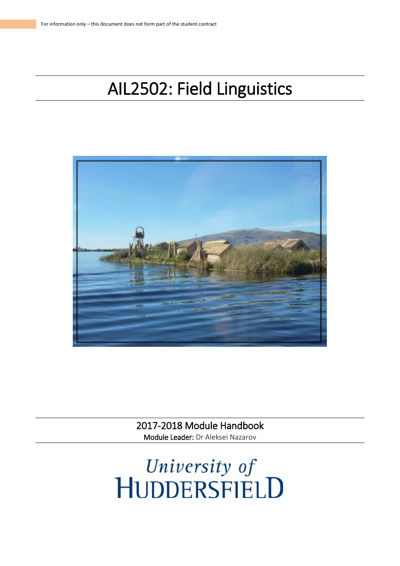# AIL2502: Field Linguistics



2017-2018 Module Handbook Module Leader: Dr Aleksei Nazarov

University of<br>HUDDERSFIELD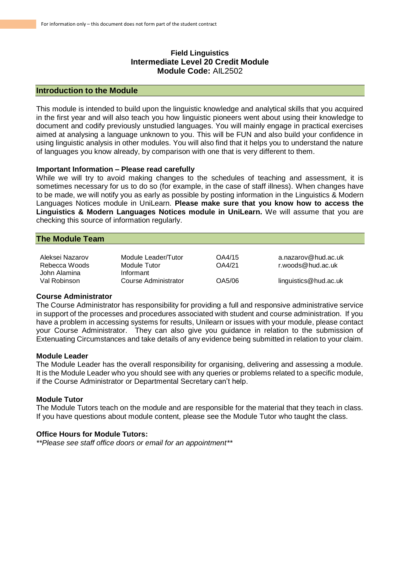# **Field Linguistics Intermediate Level 20 Credit Module Module Code:** AIL2502

## **Introduction to the Module**

This module is intended to build upon the linguistic knowledge and analytical skills that you acquired in the first year and will also teach you how linguistic pioneers went about using their knowledge to document and codify previously unstudied languages. You will mainly engage in practical exercises aimed at analysing a language unknown to you. This will be FUN and also build your confidence in using linguistic analysis in other modules. You will also find that it helps you to understand the nature of languages you know already, by comparison with one that is very different to them.

#### **Important Information – Please read carefully**

While we will try to avoid making changes to the schedules of teaching and assessment, it is sometimes necessary for us to do so (for example, in the case of staff illness). When changes have to be made, we will notify you as early as possible by posting information in the Linguistics & Modern Languages Notices module in UniLearn. **Please make sure that you know how to access the Linguistics & Modern Languages Notices module in UniLearn.** We will assume that you are checking this source of information regularly.

## **The Module Team**

| Aleksei Nazarov | Module Leader/Tutor  | OA4/15 | a.nazarov@hud.ac.uk   |
|-----------------|----------------------|--------|-----------------------|
| Rebecca Woods   | Module Tutor         | OA4/21 | r.woods@hud.ac.uk     |
| John Alamina    | Informant            |        |                       |
| Val Robinson    | Course Administrator | OA5/06 | linguistics@hud.ac.uk |

#### **Course Administrator**

The Course Administrator has responsibility for providing a full and responsive administrative service in support of the processes and procedures associated with student and course administration. If you have a problem in accessing systems for results, Unilearn or issues with your module, please contact your Course Administrator. They can also give you guidance in relation to the submission of Extenuating Circumstances and take details of any evidence being submitted in relation to your claim.

#### **Module Leader**

The Module Leader has the overall responsibility for organising, delivering and assessing a module. It is the Module Leader who you should see with any queries or problems related to a specific module, if the Course Administrator or Departmental Secretary can't help.

#### **Module Tutor**

The Module Tutors teach on the module and are responsible for the material that they teach in class. If you have questions about module content, please see the Module Tutor who taught the class.

# **Office Hours for Module Tutors:**

*\*\*Please see staff office doors or email for an appointment\*\**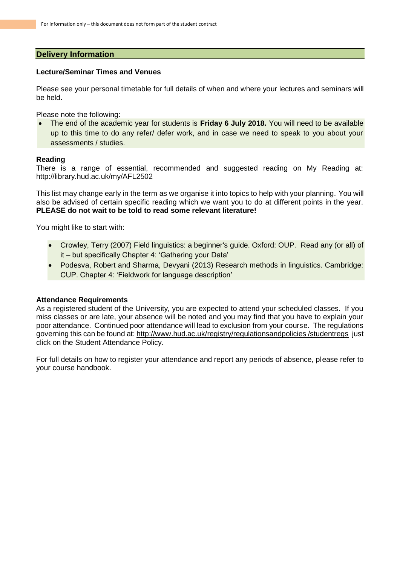## **Delivery Information**

## **Lecture/Seminar Times and Venues**

Please see your personal timetable for full details of when and where your lectures and seminars will be held.

Please note the following:

• The end of the academic year for students is **Friday 6 July 2018.** You will need to be available up to this time to do any refer/ defer work, and in case we need to speak to you about your assessments / studies.

## **Reading**

There is a range of essential, recommended and suggested reading on My Reading at: http://library.hud.ac.uk/my/AFL2502

This list may change early in the term as we organise it into topics to help with your planning. You will also be advised of certain specific reading which we want you to do at different points in the year. **PLEASE do not wait to be told to read some relevant literature!**

You might like to start with:

- Crowley, Terry (2007) Field linguistics: a beginner's guide. Oxford: OUP. Read any (or all) of it – but specifically Chapter 4: 'Gathering your Data'
- Podesva, Robert and Sharma, Devyani (2013) Research methods in linguistics. Cambridge: CUP. Chapter 4: 'Fieldwork for language description'

#### **Attendance Requirements**

As a registered student of the University, you are expected to attend your scheduled classes. If you miss classes or are late, your absence will be noted and you may find that you have to explain your poor attendance. Continued poor attendance will lead to exclusion from your course. The regulations governing this can be found at: http://www.hud.ac.uk/registry/regulationsandpolicies /studentregs just click on the Student Attendance Policy.

For full details on how to register your attendance and report any periods of absence, please refer to your course handbook.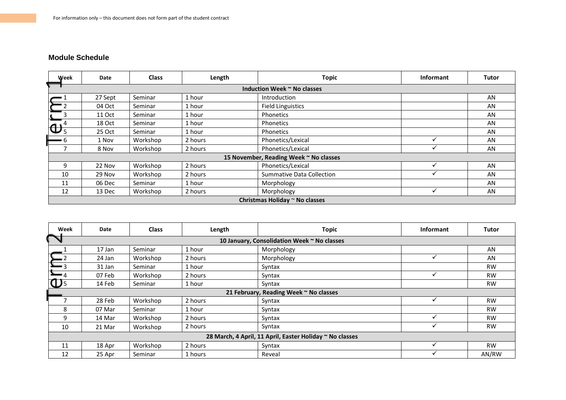# **Module Schedule**

| Week                                   | Date    | <b>Class</b> | Length  | <b>Topic</b>                     | Informant | <b>Tutor</b> |  |
|----------------------------------------|---------|--------------|---------|----------------------------------|-----------|--------------|--|
| Induction Week ~ No classes            |         |              |         |                                  |           |              |  |
|                                        | 27 Sept | Seminar      | 1 hour  | Introduction                     |           | AN           |  |
|                                        | 04 Oct  | Seminar      | 1 hour  | <b>Field Linguistics</b>         |           | AN           |  |
| $\frac{\sum_{3}^{2}}{\sum_{5}^{4}}$    | 11 Oct  | Seminar      | 1 hour  | Phonetics                        |           | AN           |  |
|                                        | 18 Oct  | Seminar      | 1 hour  | Phonetics                        |           | AN           |  |
|                                        | 25 Oct  | Seminar      | 1 hour  | Phonetics                        |           | <b>AN</b>    |  |
| — 6                                    | 1 Nov   | Workshop     | 2 hours | Phonetics/Lexical                |           | AN           |  |
|                                        | 8 Nov   | Workshop     | 2 hours | Phonetics/Lexical                |           | AN           |  |
| 15 November, Reading Week ~ No classes |         |              |         |                                  |           |              |  |
| 9                                      | 22 Nov  | Workshop     | 2 hours | Phonetics/Lexical                |           | AN           |  |
| 10                                     | 29 Nov  | Workshop     | 2 hours | <b>Summative Data Collection</b> |           | AN           |  |
| 11                                     | 06 Dec  | Seminar      | 1 hour  | Morphology                       |           | AN           |  |
| 12                                     | 13 Dec  | Workshop     | 2 hours | Morphology                       |           | AN           |  |
| Christmas Holiday ~ No classes         |         |              |         |                                  |           |              |  |

| Week                                                     | Date                                        | <b>Class</b> | Length  | <b>Topic</b> | Informant | <b>Tutor</b> |  |
|----------------------------------------------------------|---------------------------------------------|--------------|---------|--------------|-----------|--------------|--|
|                                                          | 10 January, Consolidation Week ~ No classes |              |         |              |           |              |  |
|                                                          | 17 Jan                                      | Seminar      | 1 hour  | Morphology   |           | AN           |  |
|                                                          | 24 Jan                                      | Workshop     | 2 hours | Morphology   |           | AN           |  |
| $\mathbf{L}_{3}$                                         | 31 Jan                                      | Seminar      | 1 hour  | Syntax       |           | <b>RW</b>    |  |
| $\sum_{4}$                                               | 07 Feb                                      | Workshop     | 2 hours | Syntax       |           | <b>RW</b>    |  |
| $\mathbf{D}$                                             | 14 Feb                                      | Seminar      | 1 hour  | Syntax       |           | <b>RW</b>    |  |
| 21 February, Reading Week ~ No classes                   |                                             |              |         |              |           |              |  |
|                                                          | 28 Feb                                      | Workshop     | 2 hours | Syntax       |           | <b>RW</b>    |  |
| 8                                                        | 07 Mar                                      | Seminar      | 1 hour  | Syntax       |           | <b>RW</b>    |  |
| 9                                                        | 14 Mar                                      | Workshop     | 2 hours | Syntax       |           | <b>RW</b>    |  |
| 10                                                       | 21 Mar                                      | Workshop     | 2 hours | Syntax       |           | <b>RW</b>    |  |
| 28 March, 4 April, 11 April, Easter Holiday ~ No classes |                                             |              |         |              |           |              |  |
| 11                                                       | 18 Apr                                      | Workshop     | 2 hours | Syntax       |           | <b>RW</b>    |  |
| 12                                                       | 25 Apr                                      | Seminar      | 1 hours | Reveal       | ✓         | AN/RW        |  |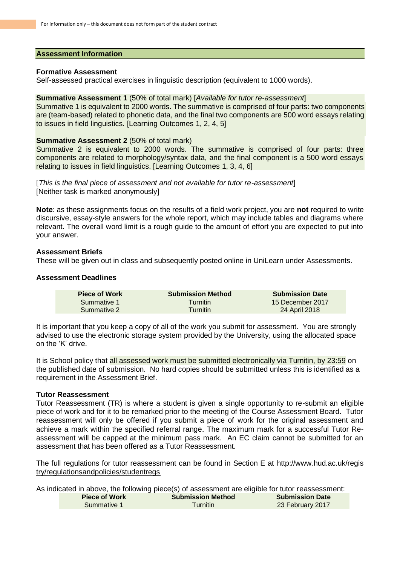#### **Assessment Information**

#### **Formative Assessment**

Self-assessed practical exercises in linguistic description (equivalent to 1000 words).

#### **Summative Assessment 1** (50% of total mark) [*Available for tutor re-assessment*]

Summative 1 is equivalent to 2000 words. The summative is comprised of four parts: two components are (team-based) related to phonetic data, and the final two components are 500 word essays relating to issues in field linguistics. [Learning Outcomes 1, 2, 4, 5]

#### **Summative Assessment 2 (50% of total mark)**

Summative 2 is equivalent to 2000 words. The summative is comprised of four parts: three components are related to morphology/syntax data, and the final component is a 500 word essays relating to issues in field linguistics. [Learning Outcomes 1, 3, 4, 6]

[*This is the final piece of assessment and not available for tutor re-assessment*] [Neither task is marked anonymously]

**Note**: as these assignments focus on the results of a field work project, you are **not** required to write discursive, essay-style answers for the whole report, which may include tables and diagrams where relevant. The overall word limit is a rough guide to the amount of effort you are expected to put into your answer.

#### **Assessment Briefs**

These will be given out in class and subsequently posted online in UniLearn under Assessments.

#### **Assessment Deadlines**

| <b>Piece of Work</b> | <b>Submission Method</b> | <b>Submission Date</b> |
|----------------------|--------------------------|------------------------|
| Summative 1          | <b>Turnitin</b>          | 15 December 2017       |
| Summative 2          | <b>Turnitin</b>          | 24 April 2018          |

It is important that you keep a copy of all of the work you submit for assessment. You are strongly advised to use the electronic storage system provided by the University, using the allocated space on the 'K' drive.

It is School policy that all assessed work must be submitted electronically via Turnitin, by 23:59 on the published date of submission. No hard copies should be submitted unless this is identified as a requirement in the Assessment Brief.

## **Tutor Reassessment**

Tutor Reassessment (TR) is where a student is given a single opportunity to re-submit an eligible piece of work and for it to be remarked prior to the meeting of the Course Assessment Board. Tutor reassessment will only be offered if you submit a piece of work for the original assessment and achieve a mark within the specified referral range. The maximum mark for a successful Tutor Reassessment will be capped at the minimum pass mark. An EC claim cannot be submitted for an assessment that has been offered as a Tutor Reassessment.

The full regulations for tutor reassessment can be found in Section E at http://www.hud.ac.uk/regis try/regulationsandpolicies/studentregs

As indicated in above, the following piece(s) of assessment are eligible for tutor reassessment:

| <b>Piece of Work</b> | <b>Submission Method</b> | <b>Submission Date</b> |
|----------------------|--------------------------|------------------------|
| Summative 1          | $\tau$ urnitin           | 23 February 2017       |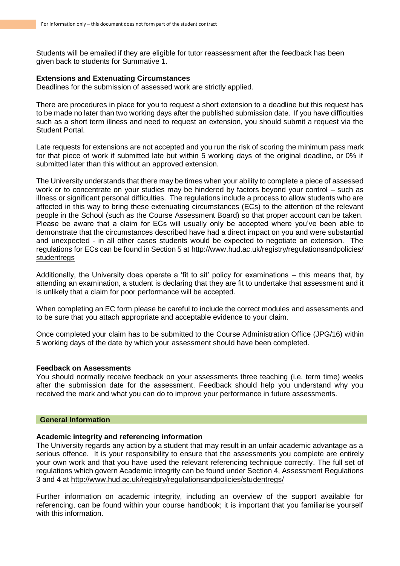Students will be emailed if they are eligible for tutor reassessment after the feedback has been given back to students for Summative 1.

#### **Extensions and Extenuating Circumstances**

Deadlines for the submission of assessed work are strictly applied.

There are procedures in place for you to request a short extension to a deadline but this request has to be made no later than two working days after the published submission date. If you have difficulties such as a short term illness and need to request an extension, you should submit a request via the Student Portal.

Late requests for extensions are not accepted and you run the risk of scoring the minimum pass mark for that piece of work if submitted late but within 5 working days of the original deadline, or 0% if submitted later than this without an approved extension.

The University understands that there may be times when your ability to complete a piece of assessed work or to concentrate on your studies may be hindered by factors beyond your control – such as illness or significant personal difficulties. The regulations include a process to allow students who are affected in this way to bring these extenuating circumstances (ECs) to the attention of the relevant people in the School (such as the Course Assessment Board) so that proper account can be taken. Please be aware that a claim for ECs will usually only be accepted where you've been able to demonstrate that the circumstances described have had a direct impact on you and were substantial and unexpected - in all other cases students would be expected to negotiate an extension. The regulations for ECs can be found in Section 5 at http://www.hud.ac.uk/registry/regulationsandpolicies/ **studentregs** 

Additionally, the University does operate a 'fit to sit' policy for examinations – this means that, by attending an examination, a student is declaring that they are fit to undertake that assessment and it is unlikely that a claim for poor performance will be accepted.

When completing an EC form please be careful to include the correct modules and assessments and to be sure that you attach appropriate and acceptable evidence to your claim.

Once completed your claim has to be submitted to the Course Administration Office (JPG/16) within 5 working days of the date by which your assessment should have been completed.

#### **Feedback on Assessments**

You should normally receive feedback on your assessments three teaching (i.e. term time) weeks after the submission date for the assessment. Feedback should help you understand why you received the mark and what you can do to improve your performance in future assessments.

#### **General Information**

#### **Academic integrity and referencing information**

The University regards any action by a student that may result in an unfair academic advantage as a serious offence. It is your responsibility to ensure that the assessments you complete are entirely your own work and that you have used the relevant referencing technique correctly. The full set of regulations which govern Academic Integrity can be found under Section 4, Assessment Regulations 3 and 4 at http://www.hud.ac.uk/registry/regulationsandpolicies/studentregs/

Further information on academic integrity, including an overview of the support available for referencing, can be found within your course handbook; it is important that you familiarise yourself with this information.